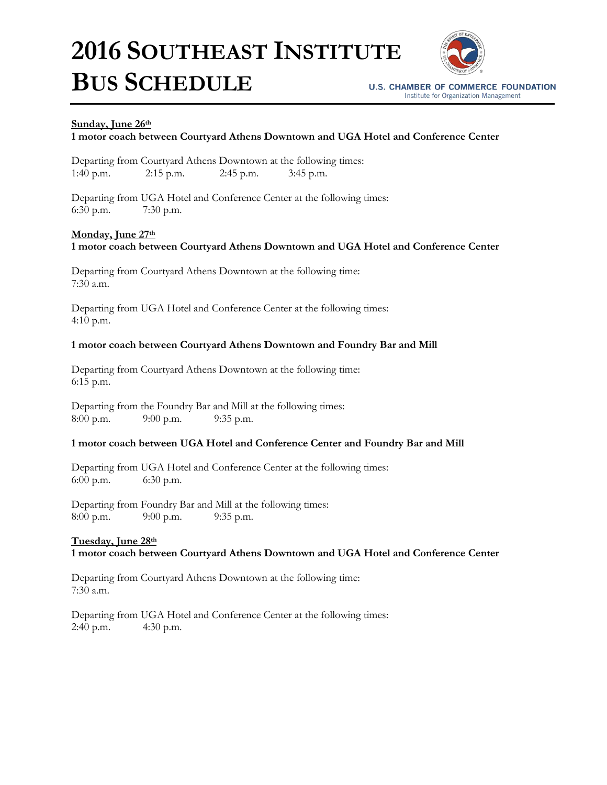# **2016 SOUTHEAST INSTITUTE BUS SCHEDULE**



**U.S. CHAMBER OF COMMERCE FOUNDATION** Institute for Organization Management

## **Sunday, June 26th**

## **1 motor coach between Courtyard Athens Downtown and UGA Hotel and Conference Center**

Departing from Courtyard Athens Downtown at the following times: 1:40 p.m. 2:15 p.m. 2:45 p.m. 3:45 p.m.

Departing from UGA Hotel and Conference Center at the following times: 6:30 p.m. 7:30 p.m.

### **Monday, June 27th**

## **1 motor coach between Courtyard Athens Downtown and UGA Hotel and Conference Center**

Departing from Courtyard Athens Downtown at the following time: 7:30 a.m.

Departing from UGA Hotel and Conference Center at the following times: 4:10 p.m.

### **1 motor coach between Courtyard Athens Downtown and Foundry Bar and Mill**

Departing from Courtyard Athens Downtown at the following time: 6:15 p.m.

Departing from the Foundry Bar and Mill at the following times: 8:00 p.m. 9:00 p.m. 9:35 p.m.

#### **1 motor coach between UGA Hotel and Conference Center and Foundry Bar and Mill**

Departing from UGA Hotel and Conference Center at the following times: 6:00 p.m. 6:30 p.m.

Departing from Foundry Bar and Mill at the following times: 8:00 p.m. 9:00 p.m. 9:35 p.m.

## **Tuesday, June 28th**

## **1 motor coach between Courtyard Athens Downtown and UGA Hotel and Conference Center**

Departing from Courtyard Athens Downtown at the following time: 7:30 a.m.

Departing from UGA Hotel and Conference Center at the following times: 2:40 p.m. 4:30 p.m.